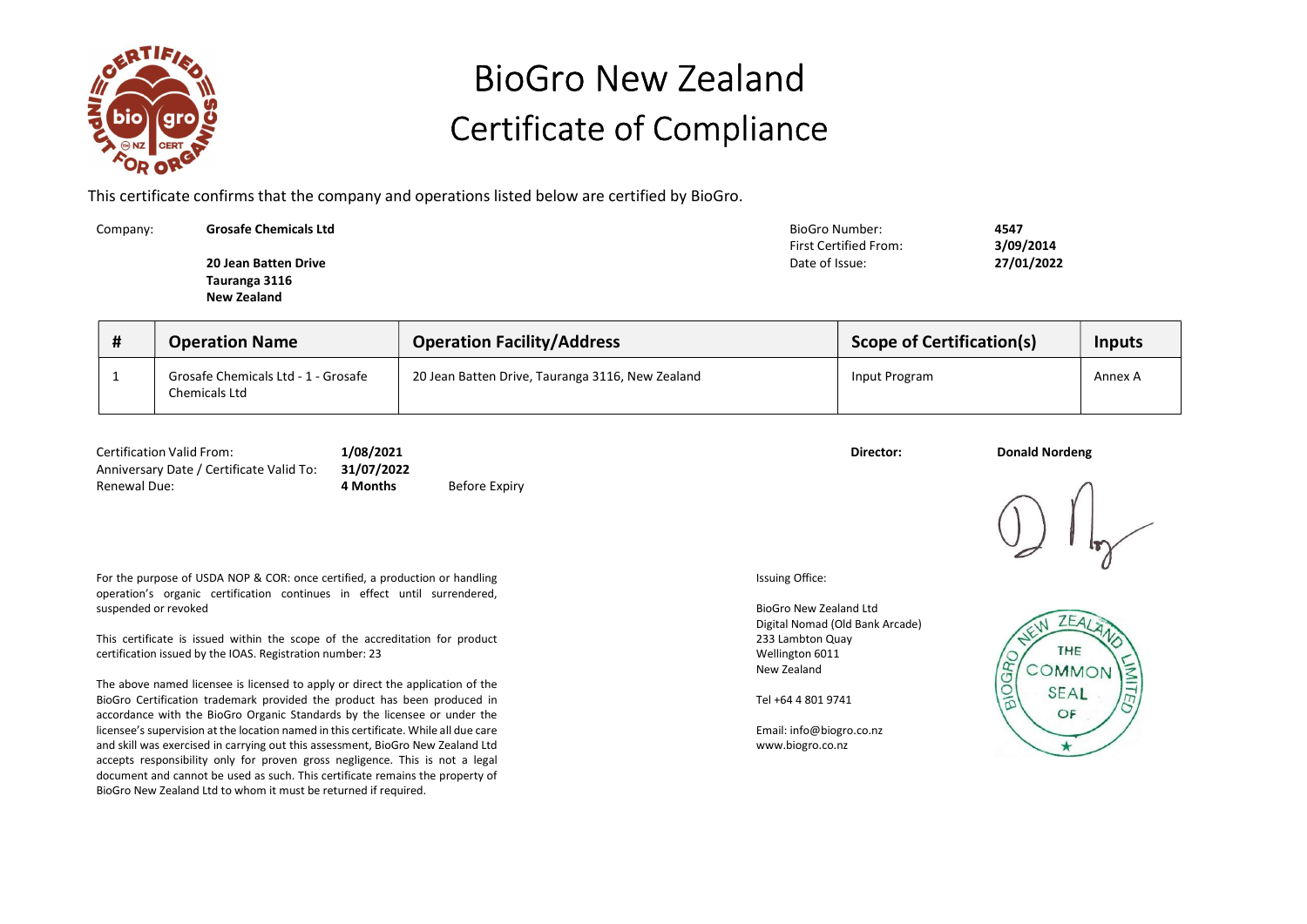

## BioGro New Zealand Certificate of Compliance

This certificate confirms that the company and operations listed below are certified by BioGro.

| Company: | <b>Grosafe Chemicals Ltd</b> | BioGro Number:               | 4547       |
|----------|------------------------------|------------------------------|------------|
|          |                              | <b>First Certified From:</b> | 3/09/2014  |
|          | 20 Jean Batten Drive         | Date of Issue:               | 27/01/2022 |
|          | Tauranga 3116                |                              |            |
|          | <b>New Zealand</b>           |                              |            |
|          |                              |                              |            |

| # | <b>Operation Name</b>                                | <b>Operation Facility/Address</b>                | <b>Scope of Certification(s)</b> | <b>Inputs</b> |
|---|------------------------------------------------------|--------------------------------------------------|----------------------------------|---------------|
|   | Grosafe Chemicals Ltd - 1 - Grosafe<br>Chemicals Ltd | 20 Jean Batten Drive, Tauranga 3116, New Zealand | Input Program                    | Annex A       |

| <b>Certification Valid From:</b>                    | 1/08/2021 |               | Director: | <b>Donald Nordeng</b> |
|-----------------------------------------------------|-----------|---------------|-----------|-----------------------|
| Anniversary Date / Certificate Valid To: 31/07/2022 |           |               |           |                       |
| <b>Renewal Due:</b>                                 | 4 Months  | Before Expiry |           |                       |

For the purpose of USDA NOP & COR: once certified, a production or handling operation's organic certification continues in effect until surrendered, suspended or revoked

This certificate is issued within the scope of the accreditation for product certification issued by the IOAS. Registration number: 23

The above named licensee is licensed to apply or direct the application of the BioGro Certification trademark provided the product has been produced in accordance with the BioGro Organic Standards by the licensee or under the licensee's supervision at the location named in this certificate. While all due care and skill was exercised in carrying out this assessment, BioGro New Zealand Ltd accepts responsibility only for proven gross negligence. This is not a legal document and cannot be used as such. This certificate remains the property of BioGro New Zealand Ltd to whom it must be returned if required.

Issuing Office:

BioGro New Zealand Ltd Digital Nomad (Old Bank Arcade) 233 Lambton Quay Wellington 6011 New Zealand

Tel +64 4 801 9741

Email: info@biogro.co.nz www.biogro.co.nz



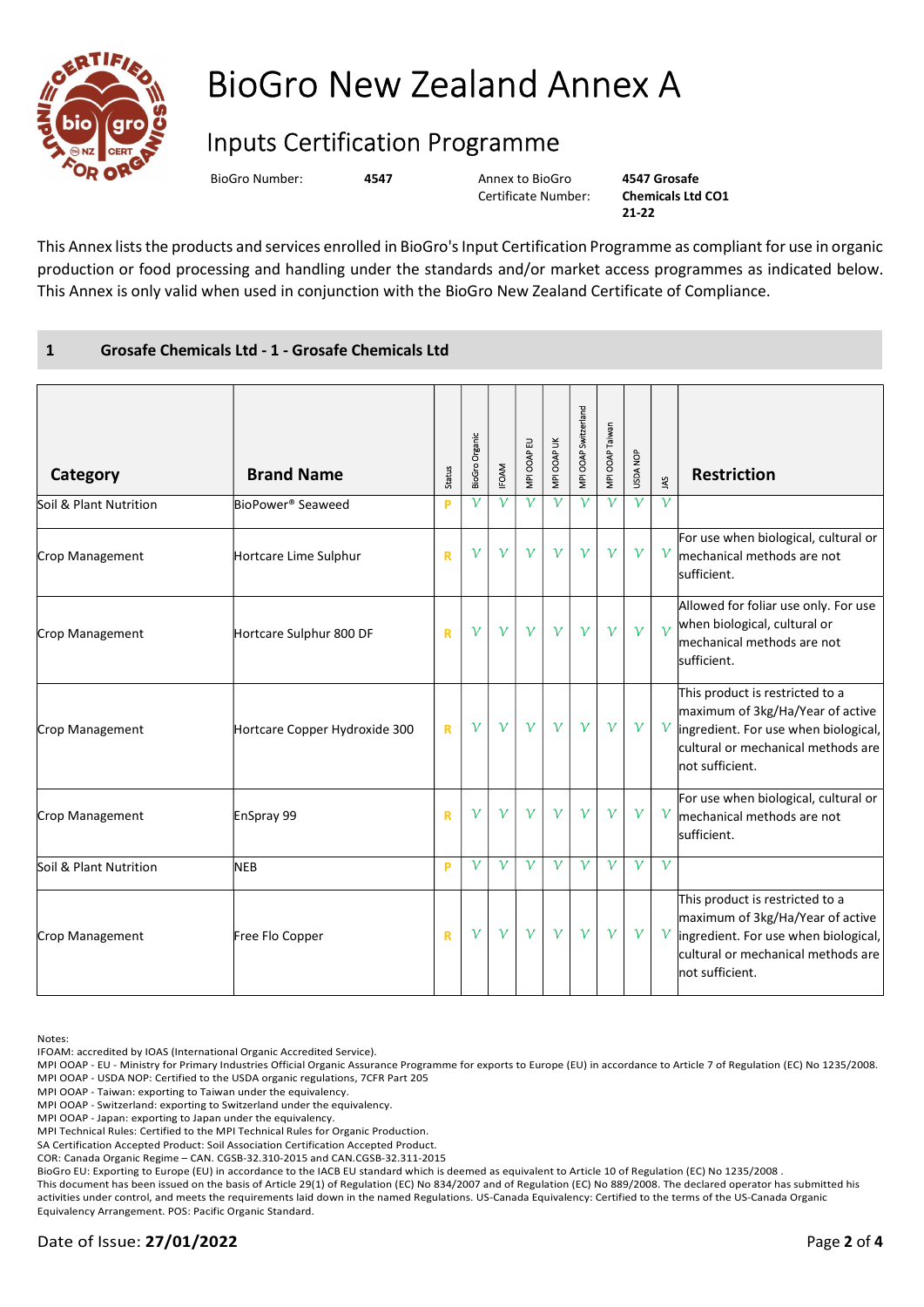

## BioGro New Zealand Annex A

## Inputs Certification Programme

BioGro Number: 4547 Annex to BioGro

Certificate Number:

4547 Grosafe Chemicals Ltd CO1 21-22

This Annex lists the products and services enrolled in BioGro's Input Certification Programme as compliant for use in organic production or food processing and handling under the standards and/or market access programmes as indicated below. This Annex is only valid when used in conjunction with the BioGro New Zealand Certificate of Compliance.

## 1 Grosafe Chemicals Ltd - 1 - Grosafe Chemicals Ltd

| Category               | <b>Brand Name</b>             | Status       | <b>BioGro Organic</b> | <b>IFOAM</b> | MPI OOAP EU  | MPI OOAP UK  | MPI OOAP Switzerland | MPI OOAP Taiwan | USDA NOP     | 3            | <b>Restriction</b>                                                                                                                                                   |
|------------------------|-------------------------------|--------------|-----------------------|--------------|--------------|--------------|----------------------|-----------------|--------------|--------------|----------------------------------------------------------------------------------------------------------------------------------------------------------------------|
| Soil & Plant Nutrition | BioPower <sup>®</sup> Seaweed | P            | ν                     | $\mathcal V$ | $\mathcal V$ | $\mathcal V$ | $\mathcal V$         | $\mathcal V$    | $\mathcal V$ | $\mathcal V$ |                                                                                                                                                                      |
| Crop Management        | Hortcare Lime Sulphur         | $\mathbb{R}$ | $\mathcal V$          | $\mathcal V$ | $\mathcal V$ | $\mathcal V$ | $\mathcal V$         | $\mathcal V$    | $\mathcal V$ | $\gamma$     | For use when biological, cultural or<br>mechanical methods are not<br>sufficient.                                                                                    |
| Crop Management        | Hortcare Sulphur 800 DF       | $\mathbf R$  | $\mathcal V$          | $\mathcal V$ | $\mathcal V$ | $\mathcal V$ | $\mathcal V$         | $\mathcal V$    | $\mathcal V$ | $\gamma$     | Allowed for foliar use only. For use<br>when biological, cultural or<br>mechanical methods are not<br>sufficient.                                                    |
| Crop Management        | Hortcare Copper Hydroxide 300 | $\mathbf R$  | $\mathcal V$          | $\mathcal V$ | $\mathcal V$ | $\mathcal V$ | $\mathcal V$         | $\mathcal V$    | $\mathcal V$ | $\gamma$     | This product is restricted to a<br>maximum of 3kg/Ha/Year of active<br>ingredient. For use when biological,<br>cultural or mechanical methods are<br>not sufficient. |
| Crop Management        | EnSpray 99                    | R            | ν                     | $\mathcal V$ | $\mathcal V$ | $\mathcal V$ | $\mathcal V$         | $\mathcal V$    | $\mathcal V$ | $\gamma$     | For use when biological, cultural or<br>mechanical methods are not<br>sufficient.                                                                                    |
| Soil & Plant Nutrition | <b>NEB</b>                    | P            | $\mathcal V$          | $\mathcal V$ | $\mathcal V$ | $\mathcal V$ | $\mathcal V$         | $\mathcal V$    | $\mathcal V$ | $\mathcal V$ |                                                                                                                                                                      |
| Crop Management        | Free Flo Copper               | R            | $\mathcal V$          | $\mathcal V$ | $\mathcal V$ | $\mathcal V$ | $\mathcal V$         | $\mathcal V$    | $\mathcal V$ | $\gamma$     | This product is restricted to a<br>maximum of 3kg/Ha/Year of active<br>ingredient. For use when biological,<br>cultural or mechanical methods are<br>not sufficient. |

Notes:

IFOAM: accredited by IOAS (International Organic Accredited Service).

MPI OOAP - EU - Ministry for Primary Industries Official Organic Assurance Programme for exports to Europe (EU) in accordance to Article 7 of Regulation (EC) No 1235/2008. MPI OOAP - USDA NOP: Certified to the USDA organic regulations, 7CFR Part 205

MPI OOAP - Taiwan: exporting to Taiwan under the equivalency.

MPI OOAP - Switzerland: exporting to Switzerland under the equivalency.

MPI OOAP - Japan: exporting to Japan under the equivalency.

MPI Technical Rules: Certified to the MPI Technical Rules for Organic Production.

SA Certification Accepted Product: Soil Association Certification Accepted Product.

COR: Canada Organic Regime – CAN. CGSB-32.310-2015 and CAN.CGSB-32.311-2015

BioGro EU: Exporting to Europe (EU) in accordance to the IACB EU standard which is deemed as equivalent to Article 10 of Regulation (EC) No 1235/2008 .

This document has been issued on the basis of Article 29(1) of Regulation (EC) No 834/2007 and of Regulation (EC) No 889/2008. The declared operator has submitted his activities under control, and meets the requirements laid down in the named Regulations. US-Canada Equivalency: Certified to the terms of the US-Canada Organic Equivalency Arrangement. POS: Pacific Organic Standard.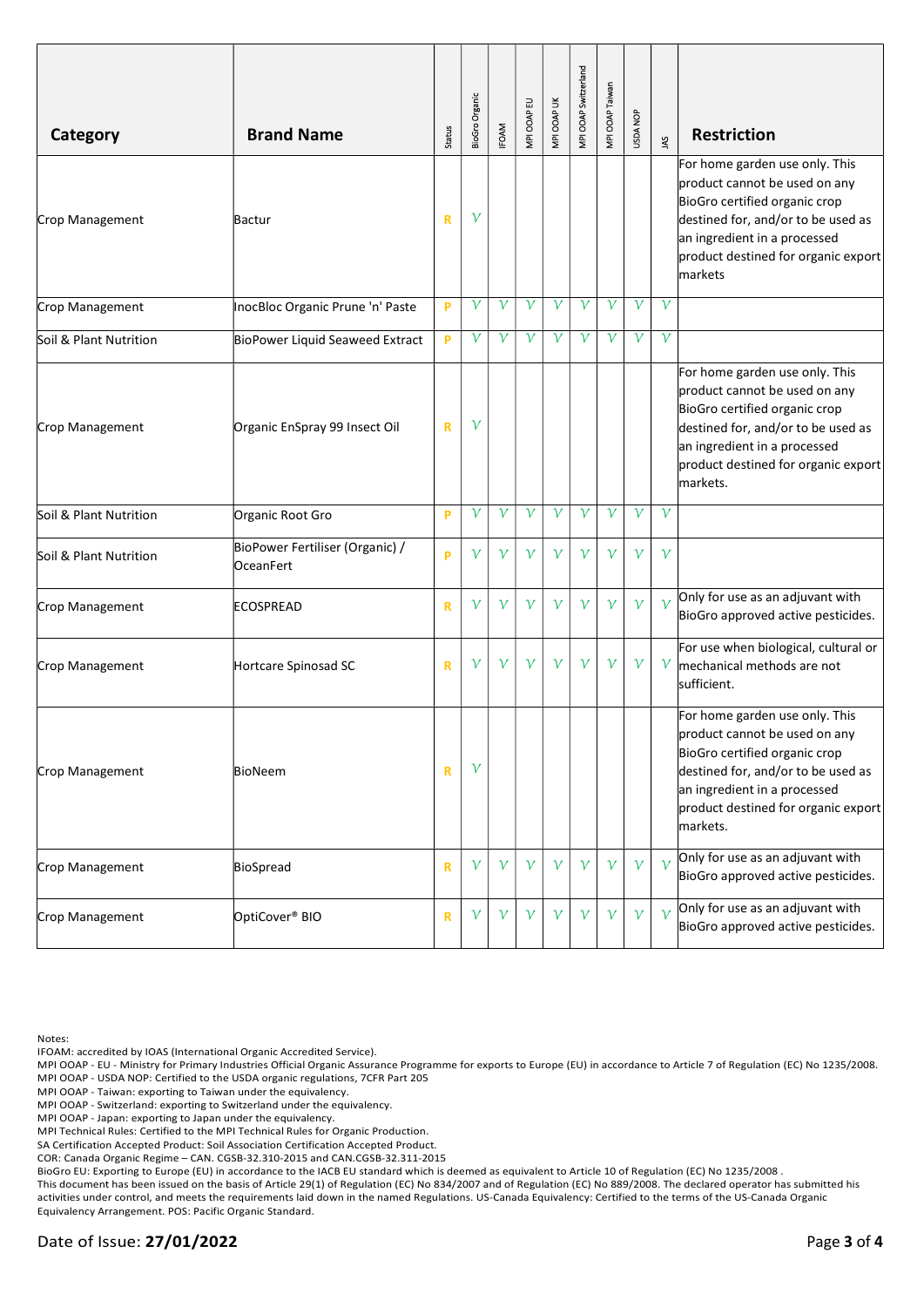| Category               | <b>Brand Name</b>                            | Status       | BioGro Organic | <b>IFOAM</b> | MPI OOAP EU  | MPI OOAP UK  | MPI OOAP Switzerland | MPI OOAP Taiwan | <b>USDA NOP</b> | Š             | <b>Restriction</b>                                                                                                                                                                                                        |
|------------------------|----------------------------------------------|--------------|----------------|--------------|--------------|--------------|----------------------|-----------------|-----------------|---------------|---------------------------------------------------------------------------------------------------------------------------------------------------------------------------------------------------------------------------|
| Crop Management        | Bactur                                       | $\mathbf R$  | $\mathcal V$   |              |              |              |                      |                 |                 |               | For home garden use only. This<br>product cannot be used on any<br>BioGro certified organic crop<br>destined for, and/or to be used as<br>an ingredient in a processed<br>product destined for organic export<br>markets  |
| Crop Management        | InocBloc Organic Prune 'n' Paste             | P            | $\mathcal V$   | $\mathcal V$ | ν            | $\mathcal V$ | $\mathcal V$         | $\mathcal V$    | $\mathcal V$    | $\mathcal V$  |                                                                                                                                                                                                                           |
| Soil & Plant Nutrition | BioPower Liquid Seaweed Extract              | P            | $\mathcal V$   | $\mathcal V$ | ν            | $\mathcal V$ | $\mathcal V$         | $\mathcal V$    | ν               | $\mathcal V$  |                                                                                                                                                                                                                           |
| Crop Management        | Organic EnSpray 99 Insect Oil                | $\mathbf R$  | $\mathcal V$   |              |              |              |                      |                 |                 |               | For home garden use only. This<br>product cannot be used on any<br>BioGro certified organic crop<br>destined for, and/or to be used as<br>an ingredient in a processed<br>product destined for organic export<br>markets. |
| Soil & Plant Nutrition | Organic Root Gro                             | P            | $\mathcal V$   | $\mathcal V$ | $\mathcal V$ | $\mathcal V$ | $\mathcal V$         | $\mathcal V$    | $\mathcal V$    | $\mathcal V$  |                                                                                                                                                                                                                           |
| Soil & Plant Nutrition | BioPower Fertiliser (Organic) /<br>OceanFert | P            | $\mathcal V$   | $\mathcal V$ | $\mathcal V$ | $\mathcal V$ | $\mathcal V$         | $\mathcal V$    | $\mathcal V$    | $\gamma$      |                                                                                                                                                                                                                           |
| Crop Management        | <b>ECOSPREAD</b>                             | $\mathbf R$  | $\mathcal V$   | $\mathcal V$ | $\mathcal V$ | $\mathcal V$ | $\mathcal V$         | $\mathcal V$    | $\mathcal V$    | $\mathcal{V}$ | Only for use as an adjuvant with<br>BioGro approved active pesticides.                                                                                                                                                    |
| Crop Management        | Hortcare Spinosad SC                         | $\mathbf R$  | $\mathcal V$   | $\mathcal V$ | $\mathcal V$ | $\mathcal V$ | $\mathcal V$         | $\mathcal V$    | $\gamma$        | $\mathcal V$  | For use when biological, cultural or<br>mechanical methods are not<br>sufficient.                                                                                                                                         |
| Crop Management        | BioNeem                                      | $\mathbf R$  | $\mathcal V$   |              |              |              |                      |                 |                 |               | For home garden use only. This<br>product cannot be used on any<br>BioGro certified organic crop<br>destined for, and/or to be used as<br>an ingredient in a processed<br>product destined for organic export<br>markets. |
| Crop Management        | BioSpread                                    | $\mathbf R$  | $\gamma$       | $\gamma$     | $\gamma$     | $\gamma$     | $\mathcal V$         | $\mathcal V$    | $\gamma$        | $\mathcal{V}$ | Only for use as an adjuvant with<br>BioGro approved active pesticides.                                                                                                                                                    |
| Crop Management        | OptiCover <sup>®</sup> BIO                   | $\mathsf{R}$ | $\mathcal V$   | $\mathcal V$ | $\gamma$     | $\gamma$     | $\mathcal V$         | $\gamma$        | $\gamma$        | $\mathcal{V}$ | Only for use as an adjuvant with<br>BioGro approved active pesticides.                                                                                                                                                    |

Notes:

IFOAM: accredited by IOAS (International Organic Accredited Service).

MPI OOAP - EU - Ministry for Primary Industries Official Organic Assurance Programme for exports to Europe (EU) in accordance to Article 7 of Regulation (EC) No 1235/2008. MPI OOAP - USDA NOP: Certified to the USDA organic regulations, 7CFR Part 205

MPI OOAP - Taiwan: exporting to Taiwan under the equivalency.

MPI OOAP - Switzerland: exporting to Switzerland under the equivalency.

MPI OOAP - Japan: exporting to Japan under the equivalency.

MPI Technical Rules: Certified to the MPI Technical Rules for Organic Production.

SA Certification Accepted Product: Soil Association Certification Accepted Product.

COR: Canada Organic Regime – CAN. CGSB-32.310-2015 and CAN.CGSB-32.311-2015

BioGro EU: Exporting to Europe (EU) in accordance to the IACB EU standard which is deemed as equivalent to Article 10 of Regulation (EC) No 1235/2008 .

This document has been issued on the basis of Article 29(1) of Regulation (EC) No 834/2007 and of Regulation (EC) No 889/2008. The declared operator has submitted his activities under control, and meets the requirements laid down in the named Regulations. US-Canada Equivalency: Certified to the terms of the US-Canada Organic Equivalency Arrangement. POS: Pacific Organic Standard.